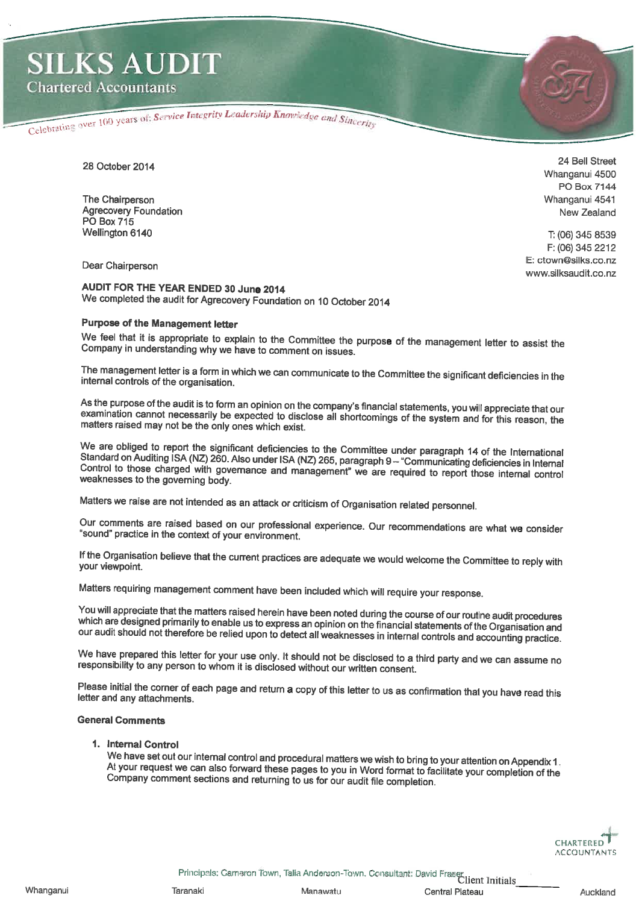Celebrating over 100 years of: Service Integrity Leadership Knowledge and Sincerity

28 October 2014

The Chairperson **Agrecovery Foundation PO** Box 715 Wellington 6140

24 Bell Street Whanganui 4500 **PO Box 7144** Whanganui 4541 New Zealand

T: (06) 345 8539 F: (06) 345 2212 E: ctown@silks.co.nz

www.silksaudit.co.nz

Dear Chairperson

AUDIT FOR THE YEAR ENDED 30 June 2014 We completed the audit for Agrecovery Foundation on 10 October 2014

# **Purpose of the Management letter**

We feel that it is appropriate to explain to the Committee the purpose of the management letter to assist the Company in understanding why we have to comment on issues.

The management letter is a form in which we can communicate to the Committee the significant deficiencies in the internal controls of the organisation.

As the purpose of the audit is to form an opinion on the company's financial statements, you will appreciate that our examination cannot necessarily be expected to disclose all shortcomings of the system and for this reason, the matters raised may not be the only ones which exist.

We are obliged to report the significant deficiencies to the Committee under paragraph 14 of the International Standard on Auditing ISA (NZ) 260. Also under ISA (NZ) 265, paragraph 9 - "Communicating deficiencies in Internal Control to those charged with governance and management" we are required to report those internal control weaknesses to the governing body.

Matters we raise are not intended as an attack or criticism of Organisation related personnel.

Our comments are raised based on our professional experience. Our recommendations are what we consider "sound" practice in the context of your environment.

If the Organisation believe that the current practices are adequate we would welcome the Committee to reply with your viewpoint.

Matters requiring management comment have been included which will require your response.

You will appreciate that the matters raised herein have been noted during the course of our routine audit procedures which are designed primarily to enable us to express an opinion on the financial statements of the Organisation and our audit should not therefore be relied upon to detect all weaknesses in internal controls and accounting practice.

We have prepared this letter for your use only. It should not be disclosed to a third party and we can assume no responsibility to any person to whom it is disclosed without our written consent.

Please initial the corner of each page and return a copy of this letter to us as confirmation that you have read this letter and any attachments.

## **General Comments**

#### 1. Internal Control

We have set out our internal control and procedural matters we wish to bring to your attention on Appendix 1. At your request we can also forward these pages to you in Word format to facilitate your completion of the Company comment sections and returning to us for our audit file completion.



Principals: Carneron Town, Talia Anderson-Town. Consultant: David Fraser, Client Initials

Taranaki

Central Plateau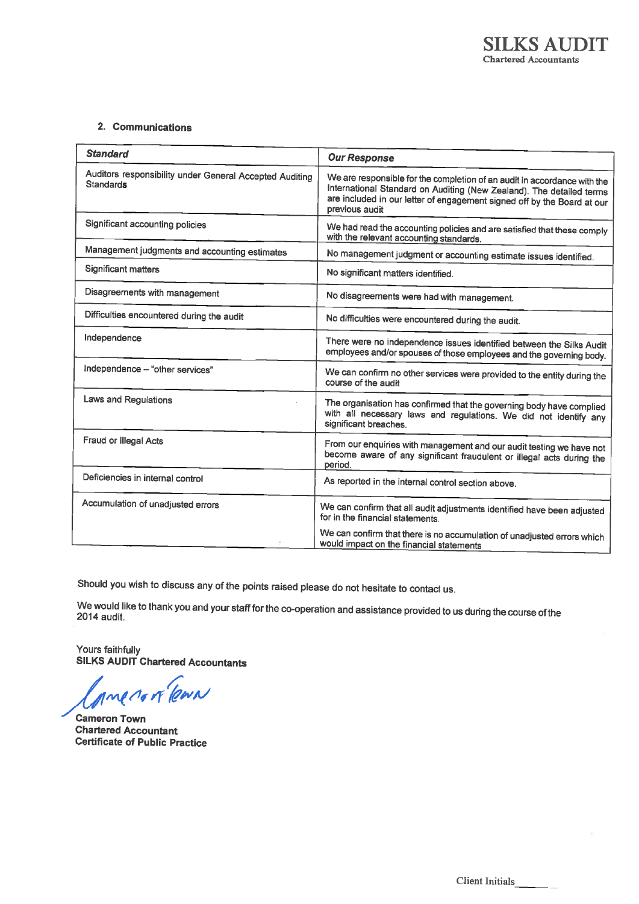# 2. Communications

| <b>Standard</b>                                                             | <b>Our Response</b>                                                                                                                                                                                                                           |
|-----------------------------------------------------------------------------|-----------------------------------------------------------------------------------------------------------------------------------------------------------------------------------------------------------------------------------------------|
| Auditors responsibility under General Accepted Auditing<br><b>Standards</b> | We are responsible for the completion of an audit in accordance with the<br>International Standard on Auditing (New Zealand). The detailed terms<br>are included in our letter of engagement signed off by the Board at our<br>previous audit |
| Significant accounting policies                                             | We had read the accounting policies and are satisfied that these comply<br>with the relevant accounting standards.                                                                                                                            |
| Management judgments and accounting estimates                               | No management judgment or accounting estimate issues identified.                                                                                                                                                                              |
| <b>Significant matters</b>                                                  | No significant matters identified.                                                                                                                                                                                                            |
| Disagreements with management                                               | No disagreements were had with management.                                                                                                                                                                                                    |
| Difficulties encountered during the audit                                   | No difficulties were encountered during the audit.                                                                                                                                                                                            |
| Independence                                                                | There were no independence issues identified between the Silks Audit<br>employees and/or spouses of those employees and the governing body.                                                                                                   |
| Independence - "other services"                                             | We can confirm no other services were provided to the entity during the<br>course of the audit                                                                                                                                                |
| Laws and Regulations                                                        | The organisation has confirmed that the governing body have complied<br>with all necessary laws and regulations. We did not identify any<br>significant breaches.                                                                             |
| Fraud or Illegal Acts                                                       | From our enquiries with management and our audit testing we have not<br>become aware of any significant fraudulent or illegal acts during the<br>period.                                                                                      |
| Deficiencies in internal control                                            | As reported in the internal control section above.                                                                                                                                                                                            |
| Accumulation of unadjusted errors                                           | We can confirm that all audit adjustments identified have been adjusted<br>for in the financial statements.                                                                                                                                   |
|                                                                             | We can confirm that there is no accumulation of unadjusted errors which<br>would impact on the financial statements                                                                                                                           |

Should you wish to discuss any of the points raised please do not hesitate to contact us.

We would like to thank you and your staff for the co-operation and assistance provided to us during the course of the 2014 audit.

Yours faithfully SILKS AUDIT Chartered Accountants

me to it learn

**Cameron Town Chartered Accountant Certificate of Public Practice**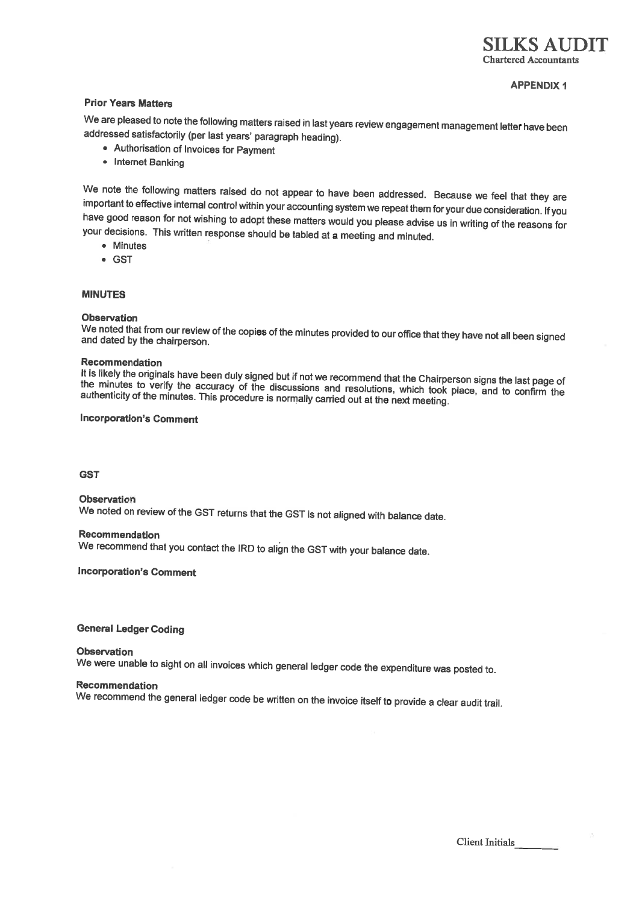## **APPENDIX 1**

## **Prior Years Matters**

We are pleased to note the following matters raised in last years review engagement management letter have been addressed satisfactorily (per last years' paragraph heading).

- Authorisation of Invoices for Payment
- Internet Banking

We note the following matters raised do not appear to have been addressed. Because we feel that they are important to effective internal control within your accounting system we repeat them for your due consideration. If you have good reason for not wishing to adopt these matters would you please advise us in writing of the reasons for your decisions. This written response should be tabled at a meeting and minuted.

- Minutes
- $-$  GST

#### **MINUTES**

#### **Observation**

We noted that from our review of the copies of the minutes provided to our office that they have not all been signed and dated by the chairperson.

#### Recommendation

It is likely the originals have been duly signed but if not we recommend that the Chairperson signs the last page of the minutes to verify the accuracy of the discussions and resolutions, which took place, and to confirm the authenticity of the minutes. This procedure is normally carried out at the next meeting.

#### **Incorporation's Comment**

**GST** 

Observation We noted on review of the GST returns that the GST is not aligned with balance date.

## Recommendation

We recommend that you contact the IRD to align the GST with your balance date.

## **Incorporation's Comment**

**General Ledger Coding** 

# **Observation** We were unable to sight on all invoices which general ledger code the expenditure was posted to.

#### Recommendation

We recommend the general ledger code be written on the invoice itself to provide a clear audit trail.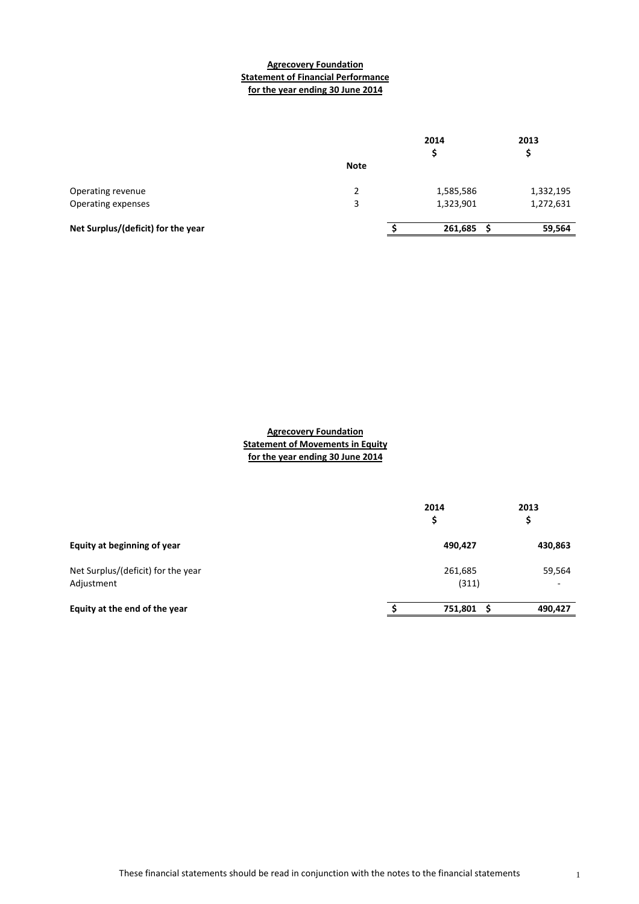## **Agrecovery Foundation Statement of Financial Performance for the year ending 30 June 2014**

|                                    |             | 2014      | 2013      |
|------------------------------------|-------------|-----------|-----------|
|                                    | <b>Note</b> |           |           |
| Operating revenue                  | 2           | 1,585,586 | 1,332,195 |
| Operating expenses                 | 3           | 1,323,901 | 1,272,631 |
| Net Surplus/(deficit) for the year |             | 261,685   | 59,564    |

**Agrecovery Foundation Statement of Movements in Equity for the year ending 30 June 2014**

|                                                  | 2014<br>\$       | 2013<br>\$                         |
|--------------------------------------------------|------------------|------------------------------------|
| Equity at beginning of year                      | 490,427          | 430,863                            |
| Net Surplus/(deficit) for the year<br>Adjustment | 261,685<br>(311) | 59,564<br>$\overline{\phantom{a}}$ |
| Equity at the end of the year                    | 751,801          | 490,427                            |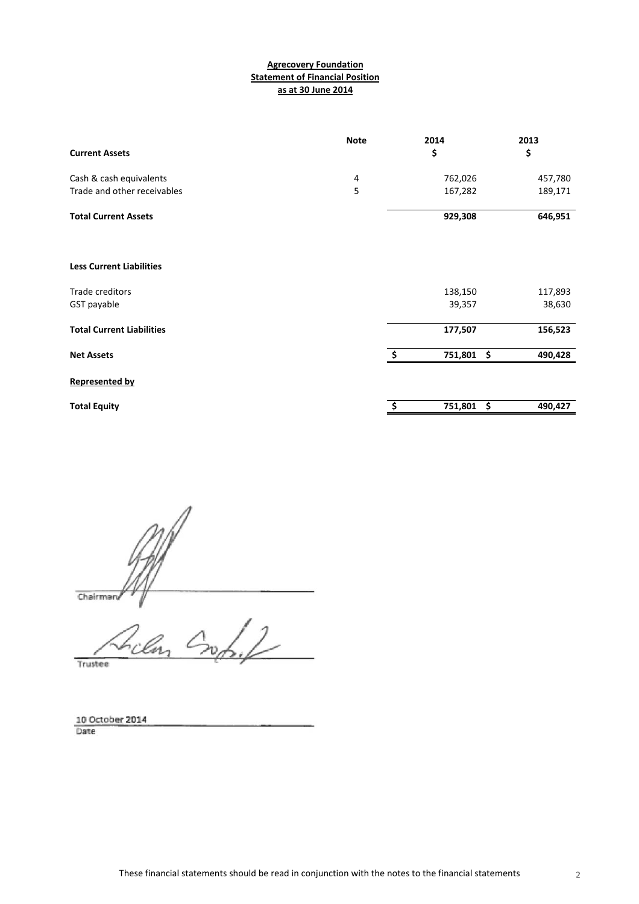## **Statement of Financial Position as at 30 June 2014 Agrecovery Foundation**

| <b>Current Assets</b>            | <b>Note</b> | 2014<br>\$                           | 2013<br>\$ |
|----------------------------------|-------------|--------------------------------------|------------|
| Cash & cash equivalents          | 4           | 762,026                              | 457,780    |
| Trade and other receivables      | 5           | 167,282                              | 189,171    |
| <b>Total Current Assets</b>      |             | 929,308                              | 646,951    |
| <b>Less Current Liabilities</b>  |             |                                      |            |
| Trade creditors                  |             | 138,150                              | 117,893    |
| GST payable                      |             | 39,357                               | 38,630     |
| <b>Total Current Liabilities</b> |             | 177,507                              | 156,523    |
| <b>Net Assets</b>                |             | $\ddot{\bm{\zeta}}$<br>Ŝ.<br>751,801 | 490,428    |
| <b>Represented by</b>            |             |                                      |            |
| <b>Total Equity</b>              |             | \$<br>\$<br>751,801                  | 490,427    |

Chairman

rilan L  $\overline{\mathcal{L}}$ Trustee

10 October 2014<br>Date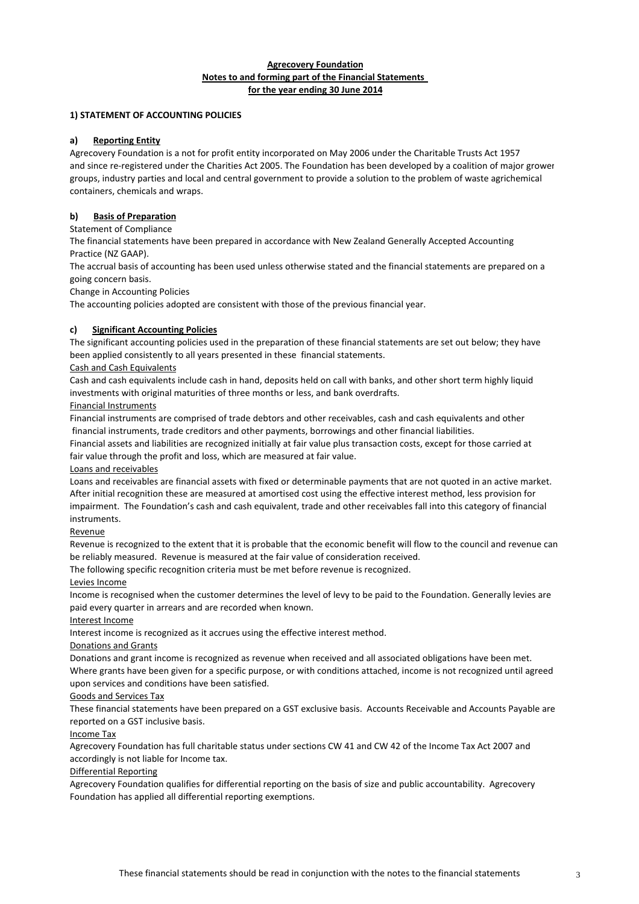#### **Agrecovery Foundation Notes to and forming part of the Financial Statements for the year ending 30 June 2014**

## **1) STATEMENT OF ACCOUNTING POLICIES**

#### **a) Reporting Entity**

Agrecovery Foundation is a not for profit entity incorporated on May 2006 under the Charitable Trusts Act 1957 and since re-registered under the Charities Act 2005. The Foundation has been developed by a coalition of major grower groups, industry parties and local and central government to provide a solution to the problem of waste agrichemical containers, chemicals and wraps.

## **b) Basis of Preparation**

Statement of Compliance

The financial statements have been prepared in accordance with New Zealand Generally Accepted Accounting Practice (NZ GAAP).

The accrual basis of accounting has been used unless otherwise stated and the financial statements are prepared on a going concern basis.

Change in Accounting Policies

The accounting policies adopted are consistent with those of the previous financial year.

#### **c) Significant Accounting Policies**

The significant accounting policies used in the preparation of these financial statements are set out below; they have been applied consistently to all years presented in these financial statements.

#### Cash and Cash Equivalents

Cash and cash equivalents include cash in hand, deposits held on call with banks, and other short term highly liquid investments with original maturities of three months or less, and bank overdrafts.

#### Financial Instruments

Financial instruments are comprised of trade debtors and other receivables, cash and cash equivalents and other financial instruments, trade creditors and other payments, borrowings and other financial liabilities.

Financial assets and liabilities are recognized initially at fair value plus transaction costs, except for those carried at fair value through the profit and loss, which are measured at fair value.

#### Loans and receivables

Loans and receivables are financial assets with fixed or determinable payments that are not quoted in an active market. After initial recognition these are measured at amortised cost using the effective interest method, less provision for impairment. The Foundation's cash and cash equivalent, trade and other receivables fall into this category of financial instruments.

#### Revenue

Revenue is recognized to the extent that it is probable that the economic benefit will flow to the council and revenue can be reliably measured. Revenue is measured at the fair value of consideration received.

The following specific recognition criteria must be met before revenue is recognized.

#### Levies Income

Income is recognised when the customer determines the level of levy to be paid to the Foundation. Generally levies are paid every quarter in arrears and are recorded when known.

## Interest Income

Interest income is recognized as it accrues using the effective interest method.

#### Donations and Grants

Donations and grant income is recognized as revenue when received and all associated obligations have been met. Where grants have been given for a specific purpose, or with conditions attached, income is not recognized until agreed upon services and conditions have been satisfied.

#### Goods and Services Tax

These financial statements have been prepared on a GST exclusive basis. Accounts Receivable and Accounts Payable are reported on a GST inclusive basis.

#### Income Tax

Agrecovery Foundation has full charitable status under sections CW 41 and CW 42 of the Income Tax Act 2007 and accordingly is not liable for Income tax.

## Differential Reporting

Agrecovery Foundation qualifies for differential reporting on the basis of size and public accountability. Agrecovery Foundation has applied all differential reporting exemptions.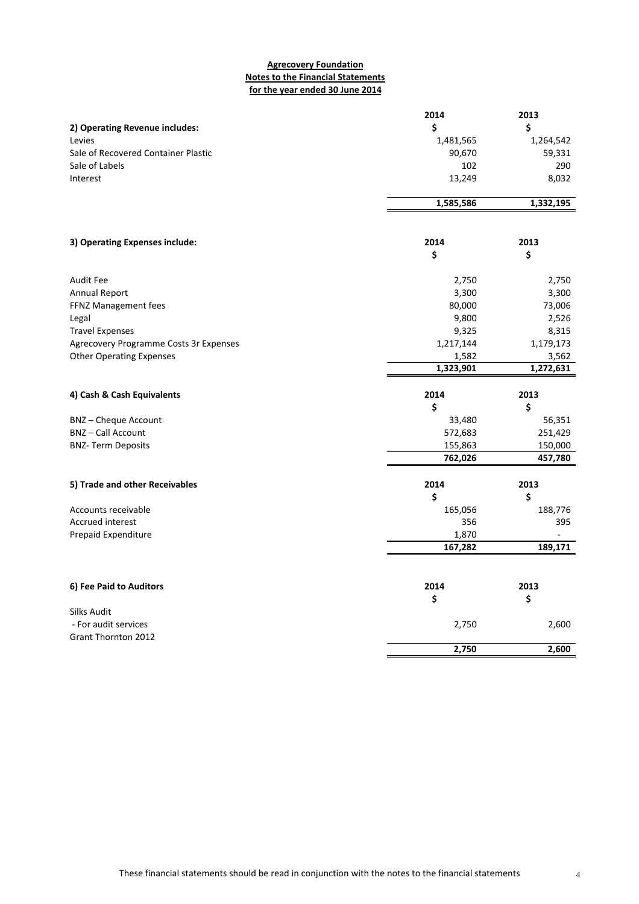## **Agrecovery Foundation Notes to the Financial Statements for the year ended 30 June 2014**

|                                                      | 2014               | 2013               |
|------------------------------------------------------|--------------------|--------------------|
| 2) Operating Revenue includes:                       | \$                 | \$                 |
| Levies                                               | 1,481,565          | 1,264,542          |
| Sale of Recovered Container Plastic                  | 90,670             | 59,331             |
| Sale of Labels                                       | 102                | 290                |
| Interest                                             | 13,249             | 8,032              |
|                                                      |                    |                    |
|                                                      | 1,585,586          | 1,332,195          |
|                                                      |                    |                    |
| 3) Operating Expenses include:                       | 2014               | 2013               |
|                                                      | \$                 | \$                 |
| Audit Fee                                            | 2,750              | 2,750              |
| <b>Annual Report</b>                                 | 3,300              | 3,300              |
| FFNZ Management fees                                 | 80,000             | 73,006             |
| Legal                                                | 9,800              | 2,526              |
| <b>Travel Expenses</b>                               | 9,325              | 8,315              |
| Agrecovery Programme Costs 3r Expenses               | 1,217,144          | 1,179,173          |
| <b>Other Operating Expenses</b>                      | 1,582              | 3,562              |
|                                                      | 1,323,901          | 1,272,631          |
|                                                      |                    |                    |
|                                                      |                    |                    |
| 4) Cash & Cash Equivalents                           | 2014               | 2013               |
|                                                      | \$                 | \$                 |
| <b>BNZ-Cheque Account</b><br><b>BNZ-Call Account</b> | 33,480             | 56,351<br>251,429  |
|                                                      | 572,683            |                    |
| <b>BNZ-Term Deposits</b>                             | 155,863<br>762,026 | 150,000<br>457,780 |
|                                                      |                    |                    |
| 5) Trade and other Receivables                       | 2014               | 2013               |
|                                                      | \$                 | \$                 |
| Accounts receivable                                  | 165,056            | 188,776            |
| <b>Accrued interest</b>                              | 356                | 395                |
| Prepaid Expenditure                                  | 1,870<br>167,282   | 189,171            |
|                                                      |                    |                    |
| 6) Fee Paid to Auditors                              | 2014               | 2013               |
|                                                      | \$                 | \$                 |
| Silks Audit                                          |                    |                    |
| - For audit services                                 | 2,750              | 2,600              |
| <b>Grant Thornton 2012</b>                           | 2,750              | 2,600              |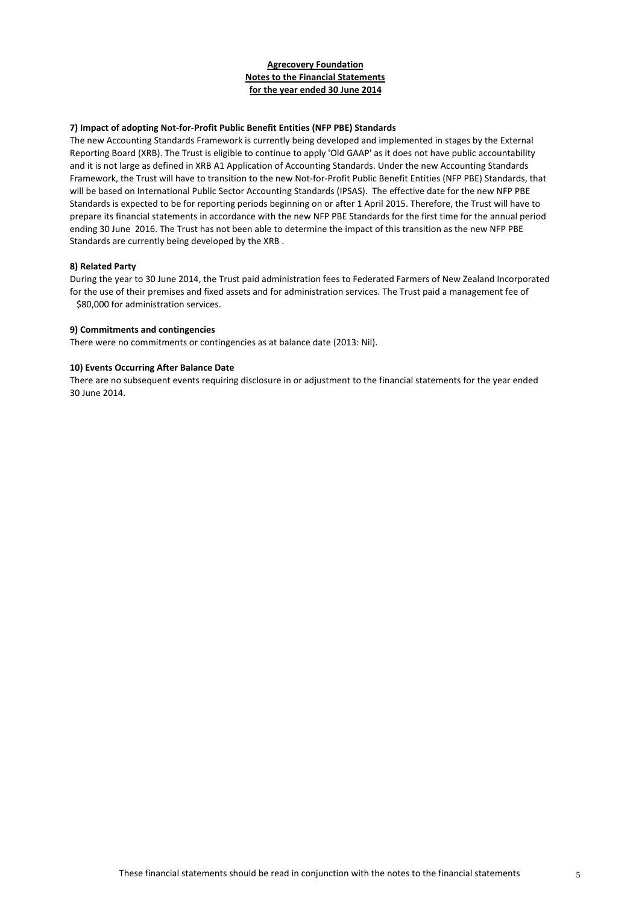## **Agrecovery Foundation Notes to the Financial Statements for the year ended 30 June 2014**

#### **7) Impact of adopting Not‐for‐Profit Public Benefit Entities (NFP PBE) Standards**

The new Accounting Standards Framework is currently being developed and implemented in stages by the External Reporting Board (XRB). The Trust is eligible to continue to apply 'Old GAAP' as it does not have public accountability and it is not large as defined in XRB A1 Application of Accounting Standards. Under the new Accounting Standards Framework, the Trust will have to transition to the new Not‐for‐Profit Public Benefit Entities (NFP PBE) Standards, that will be based on International Public Sector Accounting Standards (IPSAS). The effective date for the new NFP PBE Standards is expected to be for reporting periods beginning on or after 1 April 2015. Therefore, the Trust will have to prepare its financial statements in accordance with the new NFP PBE Standards for the first time for the annual period ending 30 June 2016. The Trust has not been able to determine the impact of this transition as the new NFP PBE Standards are currently being developed by the XRB .

#### **8) Related Party**

During the year to 30 June 2014, the Trust paid administration fees to Federated Farmers of New Zealand Incorporated for the use of their premises and fixed assets and for administration services. The Trust paid a management fee of \$80,000 for administration services.

#### **9) Commitments and contingencies**

There were no commitments or contingencies as at balance date (2013: Nil).

#### **10) Events Occurring After Balance Date**

There are no subsequent events requiring disclosure in or adjustment to the financial statements for the year ended 30 June 2014.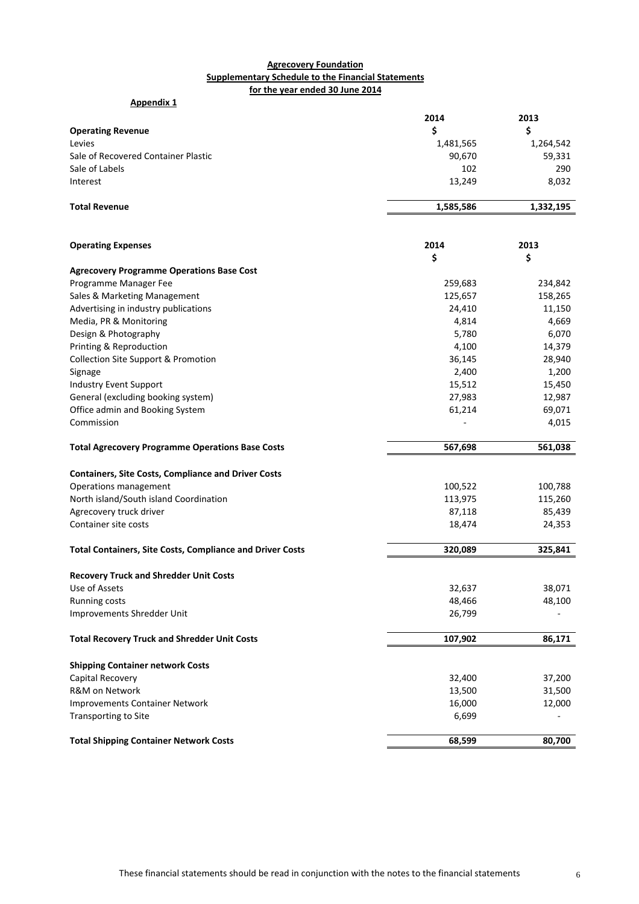## **Agrecovery Foundation Supplementary Schedule to the Financial Statements for the year ended 30 June 2014**

| <b>Appendix 1</b>                                                |           |           |
|------------------------------------------------------------------|-----------|-----------|
|                                                                  | 2014      | 2013      |
| <b>Operating Revenue</b>                                         | \$        | \$        |
| Levies                                                           | 1,481,565 | 1,264,542 |
| Sale of Recovered Container Plastic                              | 90,670    | 59,331    |
| Sale of Labels                                                   | 102       | 290       |
| Interest                                                         | 13,249    | 8,032     |
|                                                                  |           |           |
| <b>Total Revenue</b>                                             | 1,585,586 | 1,332,195 |
|                                                                  |           |           |
| <b>Operating Expenses</b>                                        | 2014      | 2013      |
|                                                                  | \$        | \$        |
| <b>Agrecovery Programme Operations Base Cost</b>                 |           |           |
| Programme Manager Fee                                            | 259,683   | 234,842   |
| Sales & Marketing Management                                     | 125,657   | 158,265   |
| Advertising in industry publications                             | 24,410    | 11,150    |
| Media, PR & Monitoring                                           | 4,814     | 4,669     |
| Design & Photography                                             | 5,780     | 6,070     |
| Printing & Reproduction                                          | 4,100     | 14,379    |
| Collection Site Support & Promotion                              | 36,145    | 28,940    |
| Signage                                                          | 2,400     | 1,200     |
| Industry Event Support                                           | 15,512    | 15,450    |
| General (excluding booking system)                               | 27,983    | 12,987    |
| Office admin and Booking System                                  | 61,214    | 69,071    |
| Commission                                                       |           | 4,015     |
| <b>Total Agrecovery Programme Operations Base Costs</b>          | 567,698   | 561,038   |
|                                                                  |           |           |
| <b>Containers, Site Costs, Compliance and Driver Costs</b>       |           |           |
| Operations management                                            | 100,522   | 100,788   |
| North island/South island Coordination                           | 113,975   | 115,260   |
| Agrecovery truck driver                                          | 87,118    | 85,439    |
| Container site costs                                             | 18,474    | 24,353    |
| <b>Total Containers, Site Costs, Compliance and Driver Costs</b> | 320,089   | 325,841   |
| <b>Recovery Truck and Shredder Unit Costs</b>                    |           |           |
| Use of Assets                                                    | 32,637    | 38,071    |
| Running costs                                                    | 48,466    | 48,100    |
| Improvements Shredder Unit                                       | 26,799    |           |
| <b>Total Recovery Truck and Shredder Unit Costs</b>              | 107,902   | 86,171    |
| <b>Shipping Container network Costs</b>                          |           |           |
| Capital Recovery                                                 | 32,400    | 37,200    |
| R&M on Network                                                   | 13,500    | 31,500    |
| <b>Improvements Container Network</b>                            | 16,000    | 12,000    |
| Transporting to Site                                             | 6,699     |           |
|                                                                  |           |           |
| <b>Total Shipping Container Network Costs</b>                    | 68,599    | 80,700    |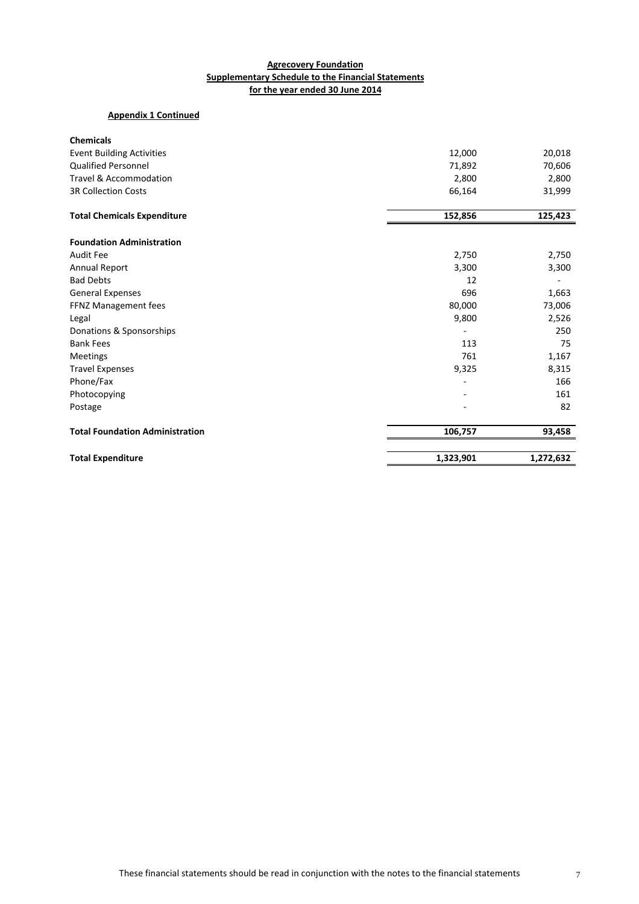## **Agrecovery Foundation Supplementary Schedule to the Financial Statements for the year ended 30 June 2014**

# **Appendix 1 Continued**

| <b>Chemicals</b>                       |           |           |
|----------------------------------------|-----------|-----------|
| <b>Event Building Activities</b>       | 12,000    | 20,018    |
| <b>Qualified Personnel</b>             | 71,892    | 70,606    |
| <b>Travel &amp; Accommodation</b>      | 2,800     | 2,800     |
| <b>3R Collection Costs</b>             | 66,164    | 31,999    |
| <b>Total Chemicals Expenditure</b>     | 152,856   | 125,423   |
| <b>Foundation Administration</b>       |           |           |
| Audit Fee                              | 2,750     | 2,750     |
| Annual Report                          | 3,300     | 3,300     |
| <b>Bad Debts</b>                       | 12        |           |
| <b>General Expenses</b>                | 696       | 1,663     |
| FFNZ Management fees                   | 80,000    | 73,006    |
| Legal                                  | 9,800     | 2,526     |
| Donations & Sponsorships               |           | 250       |
| <b>Bank Fees</b>                       | 113       | 75        |
| Meetings                               | 761       | 1,167     |
| <b>Travel Expenses</b>                 | 9,325     | 8,315     |
| Phone/Fax                              |           | 166       |
| Photocopying                           |           | 161       |
| Postage                                |           | 82        |
| <b>Total Foundation Administration</b> | 106,757   | 93,458    |
| <b>Total Expenditure</b>               | 1,323,901 | 1,272,632 |